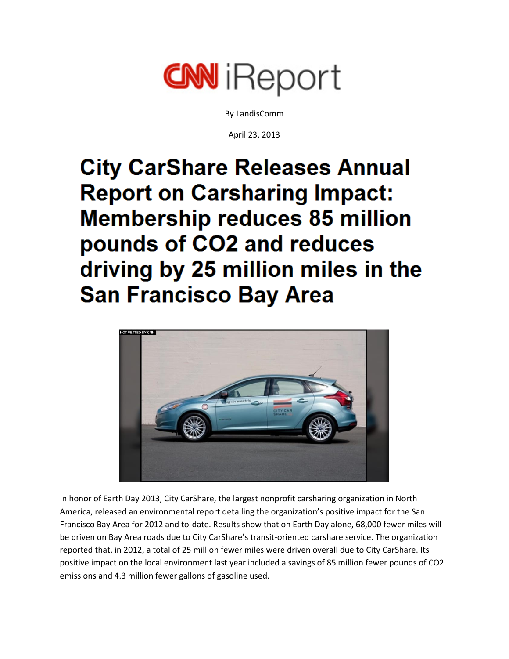

By LandisComm

April 23, 2013

**City CarShare Releases Annual Report on Carsharing Impact: Membership reduces 85 million** pounds of CO2 and reduces driving by 25 million miles in the **San Francisco Bay Area** 



In honor of Earth Day 2013, City CarShare, the largest nonprofit carsharing organization in North America, released an environmental report detailing the organization's positive impact for the San Francisco Bay Area for 2012 and to-date. Results show that on Earth Day alone, 68,000 fewer miles will be driven on Bay Area roads due to City CarShare's transit-oriented carshare service. The organization reported that, in 2012, a total of 25 million fewer miles were driven overall due to City CarShare. Its positive impact on the local environment last year included a savings of 85 million fewer pounds of CO2 emissions and 4.3 million fewer gallons of gasoline used.